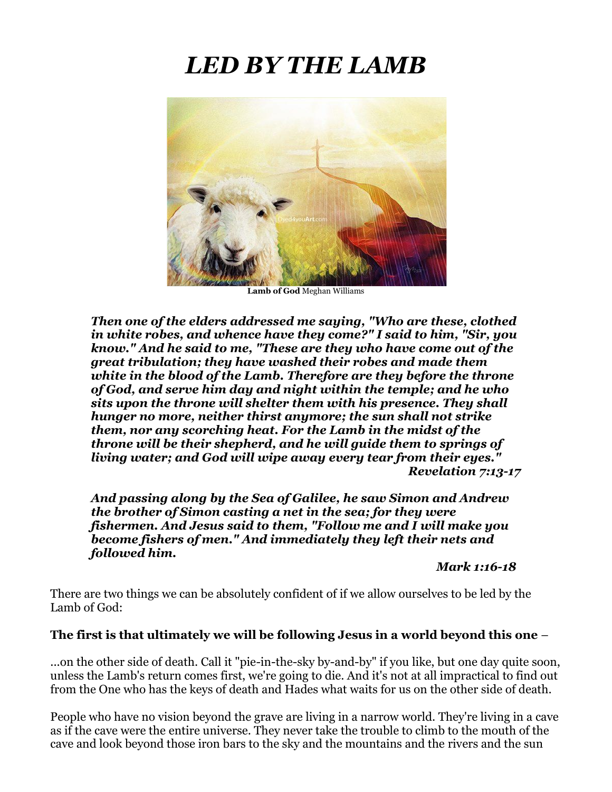# *LED BY THE LAMB*



**Lamb of God** Meghan Williams

*Then one of the elders addressed me saying, "Who are these, clothed in white robes, and whence have they come?" I said to him, "Sir, you know." And he said to me, "These are they who have come out of the great tribulation; they have washed their robes and made them white in the blood of the Lamb. Therefore are they before the throne of God, and serve him day and night within the temple; and he who sits upon the throne will shelter them with his presence. They shall hunger no more, neither thirst anymore; the sun shall not strike them, nor any scorching heat. For the Lamb in the midst of the throne will be their shepherd, and he will guide them to springs of living water; and God will wipe away every tear from their eyes." Revelation 7:13-17*

*And passing along by the Sea of Galilee, he saw Simon and Andrew the brother of Simon casting a net in the sea; for they were fishermen. And Jesus said to them, "Follow me and I will make you become fishers of men." And immediately they left their nets and followed him.* 

*Mark 1:16-18*

There are two things we can be absolutely confident of if we allow ourselves to be led by the Lamb of God:

#### **The first is that ultimately we will be following Jesus in a world beyond this one** –

...on the other side of death. Call it "pie-in-the-sky by-and-by" if you like, but one day quite soon, unless the Lamb's return comes first, we're going to die. And it's not at all impractical to find out from the One who has the keys of death and Hades what waits for us on the other side of death.

People who have no vision beyond the grave are living in a narrow world. They're living in a cave as if the cave were the entire universe. They never take the trouble to climb to the mouth of the cave and look beyond those iron bars to the sky and the mountains and the rivers and the sun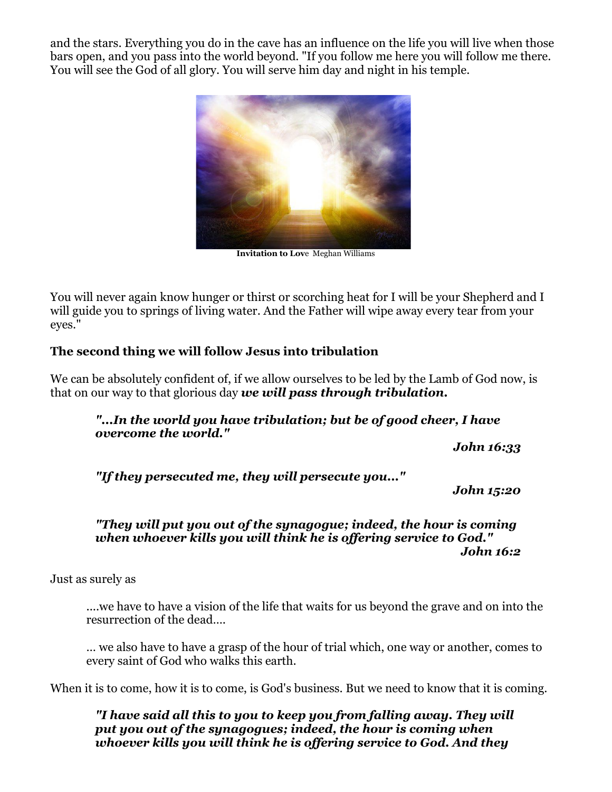and the stars. Everything you do in the cave has an influence on the life you will live when those bars open, and you pass into the world beyond. "If you follow me here you will follow me there. You will see the God of all glory. You will serve him day and night in his temple.



**Invitation to Lov**e Meghan Williams

You will never again know hunger or thirst or scorching heat for I will be your Shepherd and I will guide you to springs of living water. And the Father will wipe away every tear from your eyes."

#### **The second thing we will follow Jesus into tribulation**

We can be absolutely confident of, if we allow ourselves to be led by the Lamb of God now, is that on our way to that glorious day *we will pass through tribulation.*

*"...In the world you have tribulation; but be of good cheer, I have overcome the world."*

*John 16:33*

*"If they persecuted me, they will persecute you..."*

*John 15:20*

#### *"They will put you out of the synagogue; indeed, the hour is coming when whoever kills you will think he is offering service to God." John 16:2*

Just as surely as

....we have to have a vision of the life that waits for us beyond the grave and on into the resurrection of the dead….

… we also have to have a grasp of the hour of trial which, one way or another, comes to every saint of God who walks this earth.

When it is to come, how it is to come, is God's business. But we need to know that it is coming.

*"I have said all this to you to keep you from falling away. They will put you out of the synagogues; indeed, the hour is coming when whoever kills you will think he is offering service to God. And they*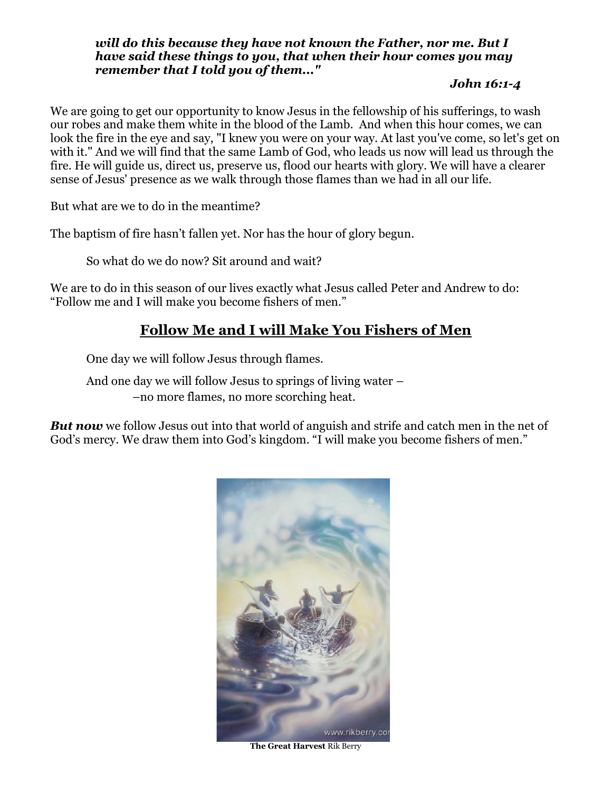#### *will do this because they have not known the Father, nor me. But I have said these things to you, that when their hour comes you may remember that I told you of them..."*

#### *John 16:1-4*

We are going to get our opportunity to know Jesus in the fellowship of his sufferings, to wash our robes and make them white in the blood of the Lamb. And when this hour comes, we can look the fire in the eye and say, "I knew you were on your way. At last you've come, so let's get on with it." And we will find that the same Lamb of God, who leads us now will lead us through the fire. He will guide us, direct us, preserve us, flood our hearts with glory. We will have a clearer sense of Jesus' presence as we walk through those flames than we had in all our life.

But what are we to do in the meantime?

The baptism of fire hasn't fallen yet. Nor has the hour of glory begun.

So what do we do now? Sit around and wait?

We are to do in this season of our lives exactly what Jesus called Peter and Andrew to do: "Follow me and I will make you become fishers of men."

## **Follow Me and I will Make You Fishers of Men**

One day we will follow Jesus through flames.

And one day we will follow Jesus to springs of living water – –no more flames, no more scorching heat.

**But now** we follow Jesus out into that world of anguish and strife and catch men in the net of God's mercy. We draw them into God's kingdom. "I will make you become fishers of men."



**The Great Harvest** Rik Berry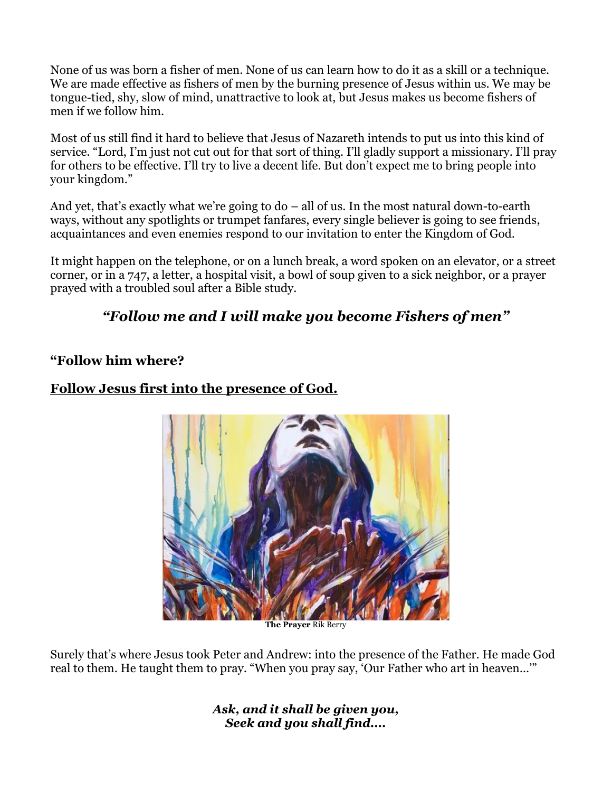None of us was born a fisher of men. None of us can learn how to do it as a skill or a technique. We are made effective as fishers of men by the burning presence of Jesus within us. We may be tongue-tied, shy, slow of mind, unattractive to look at, but Jesus makes us become fishers of men if we follow him.

Most of us still find it hard to believe that Jesus of Nazareth intends to put us into this kind of service. "Lord, I'm just not cut out for that sort of thing. I'll gladly support a missionary. I'll pray for others to be effective. I'll try to live a decent life. But don't expect me to bring people into your kingdom."

And yet, that's exactly what we're going to do – all of us. In the most natural down-to-earth ways, without any spotlights or trumpet fanfares, every single believer is going to see friends, acquaintances and even enemies respond to our invitation to enter the Kingdom of God.

It might happen on the telephone, or on a lunch break, a word spoken on an elevator, or a street corner, or in a 747, a letter, a hospital visit, a bowl of soup given to a sick neighbor, or a prayer prayed with a troubled soul after a Bible study.

# *"Follow me and I will make you become Fishers of men"*

## **"Follow him where?**



## **Follow Jesus first into the presence of God.**

**The Prayer** Rik Berry

Surely that's where Jesus took Peter and Andrew: into the presence of the Father. He made God real to them. He taught them to pray. "When you pray say, 'Our Father who art in heaven…'"

> *Ask, and it shall be given you, Seek and you shall find....*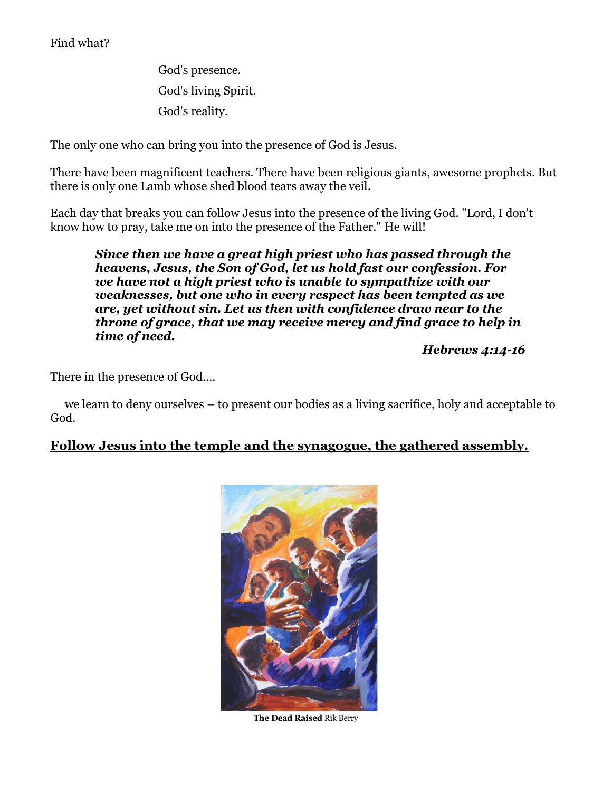## Find what?

God's presence. God's living Spirit. God's reality.

The only one who can bring you into the presence of God is Jesus.

There have been magnificent teachers. There have been religious giants, awesome prophets. But there is only one Lamb whose shed blood tears away the veil.

Each day that breaks you can follow Jesus into the presence of the living God. "Lord, I don't know how to pray, take me on into the presence of the Father." He will!

*Since then we have a great high priest who has passed through the heavens, Jesus, the Son of God, let us hold fast our confession. For we have not a high priest who is unable to sympathize with our weaknesses, but one who in every respect has been tempted as we are, yet without sin. Let us then with confidence draw near to the throne of grace, that we may receive mercy and find grace to help in time of need.* 

*Hebrews 4:14-16*

There in the presence of God….

 we learn to deny ourselves – to present our bodies as a living sacrifice, holy and acceptable to God.

## **Follow Jesus into the temple and the synagogue, the gathered assembly.**



**The Dead Raised** Rik Berry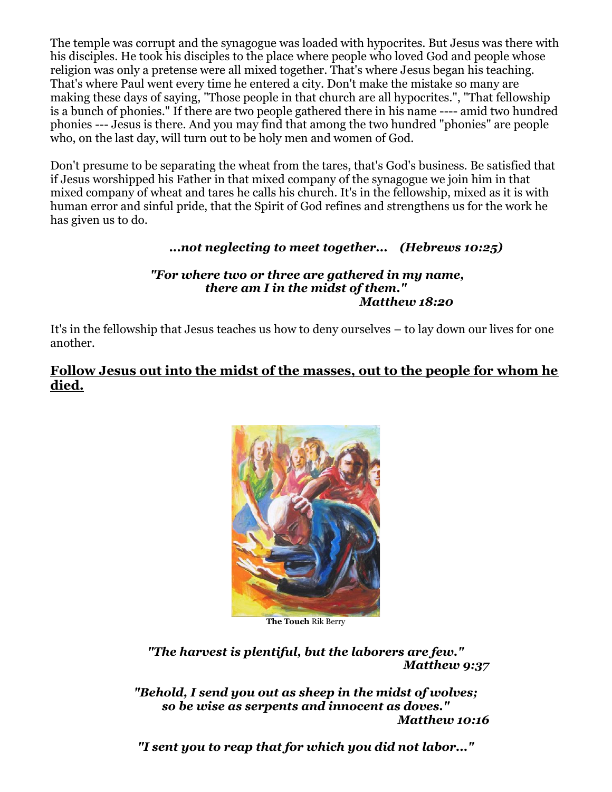The temple was corrupt and the synagogue was loaded with hypocrites. But Jesus was there with his disciples. He took his disciples to the place where people who loved God and people whose religion was only a pretense were all mixed together. That's where Jesus began his teaching. That's where Paul went every time he entered a city. Don't make the mistake so many are making these days of saying, "Those people in that church are all hypocrites.", "That fellowship is a bunch of phonies." If there are two people gathered there in his name ---- amid two hundred phonies --- Jesus is there. And you may find that among the two hundred "phonies" are people who, on the last day, will turn out to be holy men and women of God.

Don't presume to be separating the wheat from the tares, that's God's business. Be satisfied that if Jesus worshipped his Father in that mixed company of the synagogue we join him in that mixed company of wheat and tares he calls his church. It's in the fellowship, mixed as it is with human error and sinful pride, that the Spirit of God refines and strengthens us for the work he has given us to do.

## *...not neglecting to meet together... (Hebrews 10:25)*

#### *"For where two or three are gathered in my name, there am I in the midst of them." Matthew 18:20*

It's in the fellowship that Jesus teaches us how to deny ourselves – to lay down our lives for one another.

#### **Follow Jesus out into the midst of the masses, out to the people for whom he died.**



**The Touch** Rik Berry

*"The harvest is plentiful, but the laborers are few." Matthew 9:37*

*"Behold, I send you out as sheep in the midst of wolves; so be wise as serpents and innocent as doves." Matthew 10:16*

*"I sent you to reap that for which you did not labor..."*